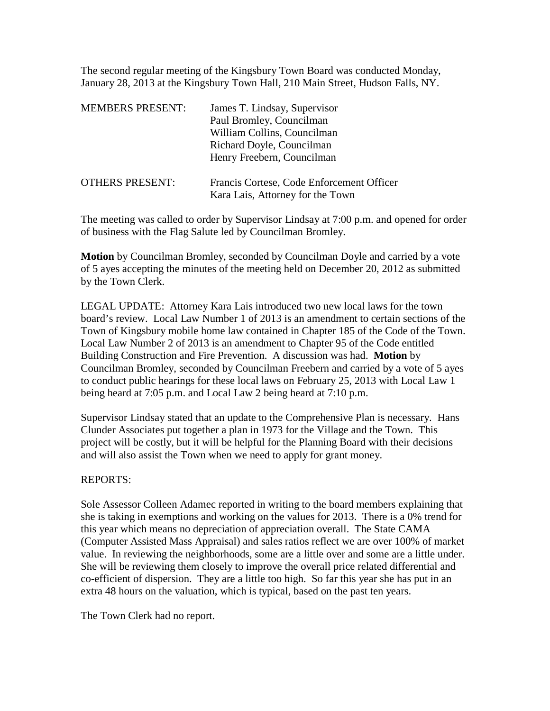The second regular meeting of the Kingsbury Town Board was conducted Monday, January 28, 2013 at the Kingsbury Town Hall, 210 Main Street, Hudson Falls, NY.

| <b>MEMBERS PRESENT:</b> | James T. Lindsay, Supervisor<br>Paul Bromley, Councilman<br>William Collins, Councilman<br>Richard Doyle, Councilman<br>Henry Freebern, Councilman |
|-------------------------|----------------------------------------------------------------------------------------------------------------------------------------------------|
| <b>OTHERS PRESENT:</b>  | Francis Cortese, Code Enforcement Officer<br>Kara Lais, Attorney for the Town                                                                      |

The meeting was called to order by Supervisor Lindsay at 7:00 p.m. and opened for order of business with the Flag Salute led by Councilman Bromley.

**Motion** by Councilman Bromley, seconded by Councilman Doyle and carried by a vote of 5 ayes accepting the minutes of the meeting held on December 20, 2012 as submitted by the Town Clerk.

LEGAL UPDATE: Attorney Kara Lais introduced two new local laws for the town board's review. Local Law Number 1 of 2013 is an amendment to certain sections of the Town of Kingsbury mobile home law contained in Chapter 185 of the Code of the Town. Local Law Number 2 of 2013 is an amendment to Chapter 95 of the Code entitled Building Construction and Fire Prevention. A discussion was had. **Motion** by Councilman Bromley, seconded by Councilman Freebern and carried by a vote of 5 ayes to conduct public hearings for these local laws on February 25, 2013 with Local Law 1 being heard at 7:05 p.m. and Local Law 2 being heard at 7:10 p.m.

Supervisor Lindsay stated that an update to the Comprehensive Plan is necessary. Hans Clunder Associates put together a plan in 1973 for the Village and the Town. This project will be costly, but it will be helpful for the Planning Board with their decisions and will also assist the Town when we need to apply for grant money.

## REPORTS:

Sole Assessor Colleen Adamec reported in writing to the board members explaining that she is taking in exemptions and working on the values for 2013. There is a 0% trend for this year which means no depreciation of appreciation overall. The State CAMA (Computer Assisted Mass Appraisal) and sales ratios reflect we are over 100% of market value. In reviewing the neighborhoods, some are a little over and some are a little under. She will be reviewing them closely to improve the overall price related differential and co-efficient of dispersion. They are a little too high. So far this year she has put in an extra 48 hours on the valuation, which is typical, based on the past ten years.

The Town Clerk had no report.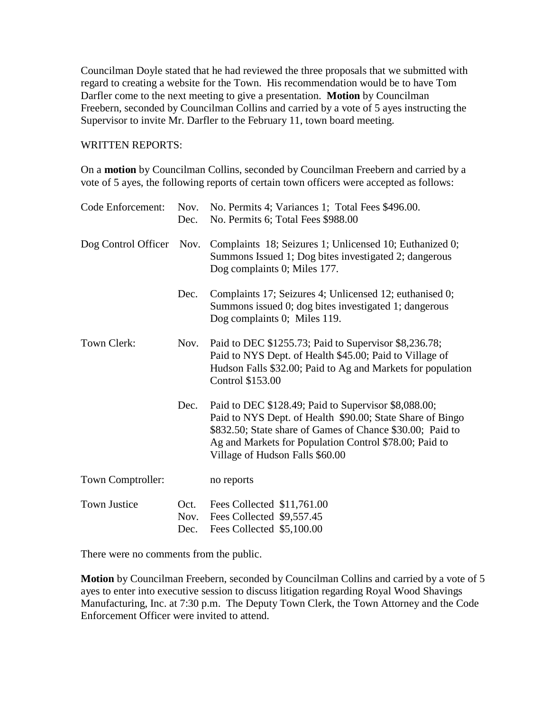Councilman Doyle stated that he had reviewed the three proposals that we submitted with regard to creating a website for the Town. His recommendation would be to have Tom Darfler come to the next meeting to give a presentation. **Motion** by Councilman Freebern, seconded by Councilman Collins and carried by a vote of 5 ayes instructing the Supervisor to invite Mr. Darfler to the February 11, town board meeting.

## WRITTEN REPORTS:

On a **motion** by Councilman Collins, seconded by Councilman Freebern and carried by a vote of 5 ayes, the following reports of certain town officers were accepted as follows:

| Code Enforcement:   | Nov.<br>Dec.         | No. Permits 4; Variances 1; Total Fees \$496.00.<br>No. Permits 6; Total Fees \$988.00                                                                                                                                                                                      |
|---------------------|----------------------|-----------------------------------------------------------------------------------------------------------------------------------------------------------------------------------------------------------------------------------------------------------------------------|
| Dog Control Officer | Nov.                 | Complaints 18; Seizures 1; Unlicensed 10; Euthanized 0;<br>Summons Issued 1; Dog bites investigated 2; dangerous<br>Dog complaints 0; Miles 177.                                                                                                                            |
|                     | Dec.                 | Complaints 17; Seizures 4; Unlicensed 12; euthanised 0;<br>Summons issued 0; dog bites investigated 1; dangerous<br>Dog complaints 0; Miles 119.                                                                                                                            |
| Town Clerk:         | Nov.                 | Paid to DEC \$1255.73; Paid to Supervisor \$8,236.78;<br>Paid to NYS Dept. of Health \$45.00; Paid to Village of<br>Hudson Falls \$32.00; Paid to Ag and Markets for population<br>Control \$153.00                                                                         |
|                     | Dec.                 | Paid to DEC \$128.49; Paid to Supervisor \$8,088.00;<br>Paid to NYS Dept. of Health \$90.00; State Share of Bingo<br>\$832.50; State share of Games of Chance \$30.00; Paid to<br>Ag and Markets for Population Control \$78.00; Paid to<br>Village of Hudson Falls \$60.00 |
| Town Comptroller:   |                      | no reports                                                                                                                                                                                                                                                                  |
| <b>Town Justice</b> | Oct.<br>Nov.<br>Dec. | Fees Collected \$11,761.00<br>Fees Collected \$9,557.45<br>Fees Collected \$5,100.00                                                                                                                                                                                        |

There were no comments from the public.

**Motion** by Councilman Freebern, seconded by Councilman Collins and carried by a vote of 5 ayes to enter into executive session to discuss litigation regarding Royal Wood Shavings Manufacturing, Inc. at 7:30 p.m. The Deputy Town Clerk, the Town Attorney and the Code Enforcement Officer were invited to attend.